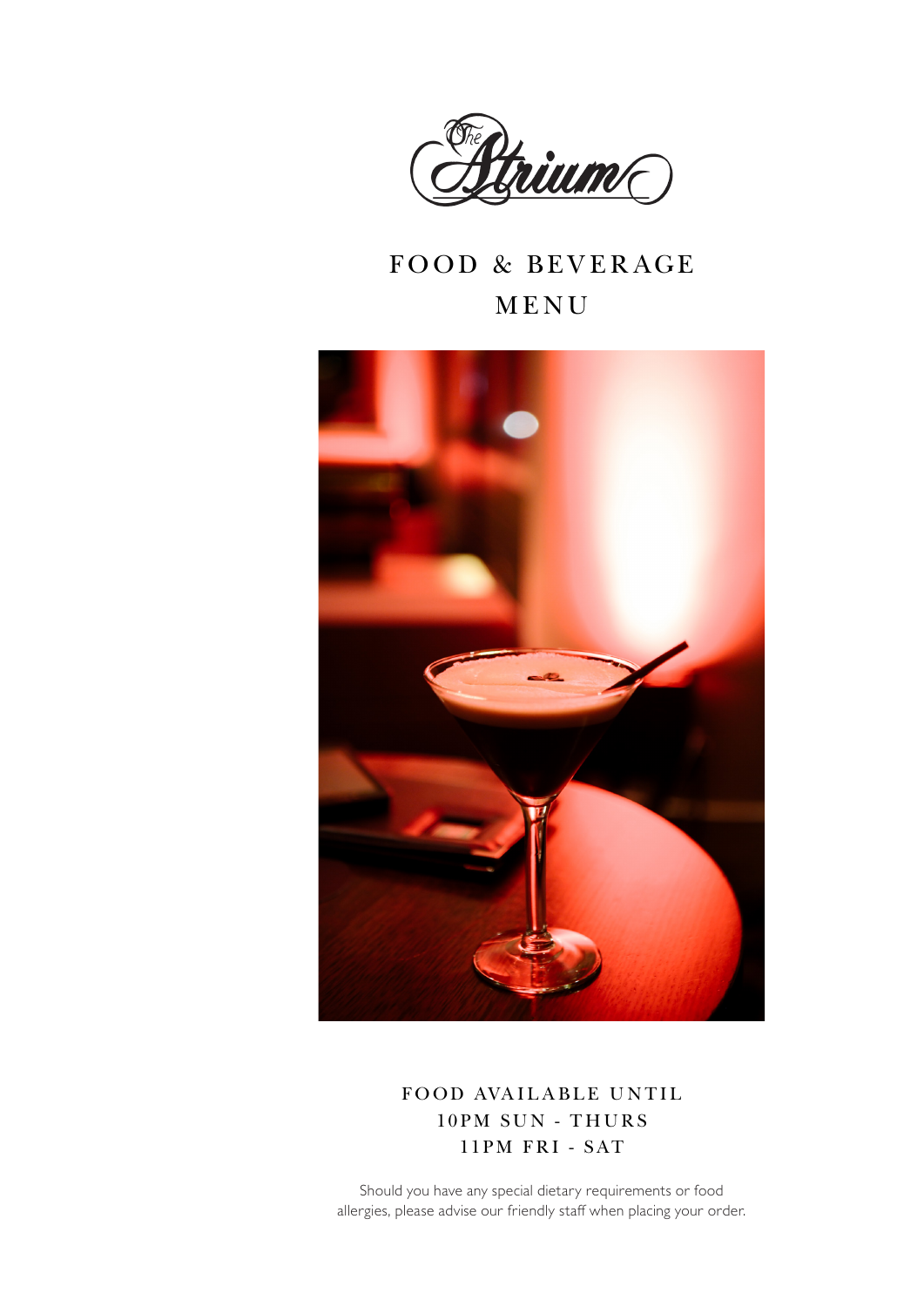

#### FOOD & BEVERAGE MENU



FOOD AVAILABLE UNTIL 10PM SUN - THURS 11PM FRI - SAT

Should you have any special dietary requirements or food allergies, please advise our friendly staff when placing your order.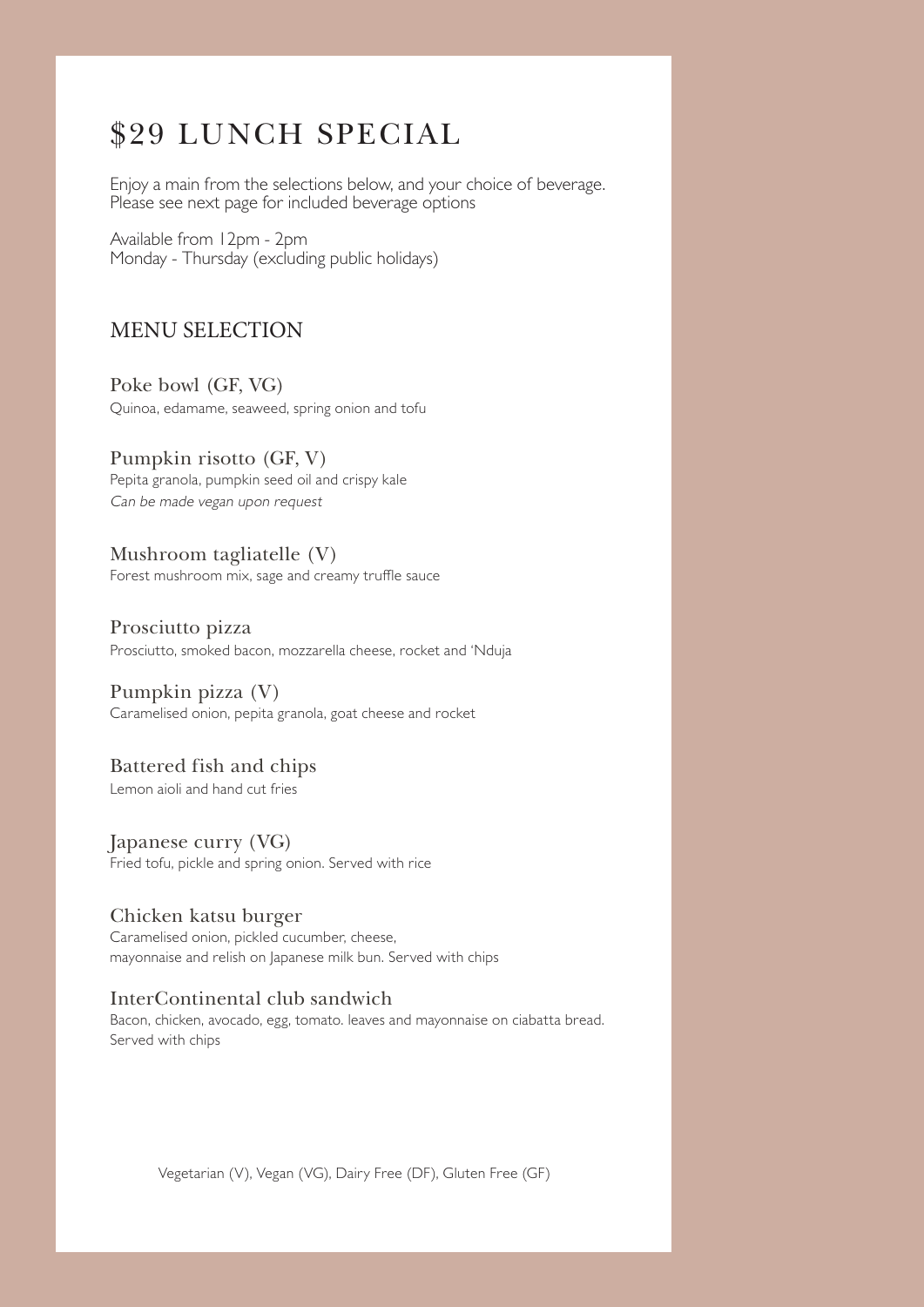#### \$29 LUNCH SPECIAL

Enjoy a main from the selections below, and your choice of beverage. Please see next page for included beverage options

Available from 12pm - 2pm Monday - Thursday (excluding public holidays)

#### MENU SELECTION

Poke bowl (GF, VG) Quinoa, edamame, seaweed, spring onion and tofu

Pumpkin risotto (GF, V) Pepita granola, pumpkin seed oil and crispy kale Can be made vegan upon request

Mushroom tagliatelle (V) Forest mushroom mix, sage and creamy truffle sauce

Prosciutto pizza Prosciutto, smoked bacon, mozzarella cheese, rocket and 'Nduja

Pumpkin pizza (V) Caramelised onion, pepita granola, goat cheese and rocket

Battered fish and chips

Lemon aioli and hand cut fries

Japanese curry (VG) Fried tofu, pickle and spring onion. Served with rice

Chicken katsu burger Caramelised onion, pickled cucumber, cheese, mayonnaise and relish on Japanese milk bun. Served with chips

#### InterContinental club sandwich

Bacon, chicken, avocado, egg, tomato. leaves and mayonnaise on ciabatta bread. Served with chips

Vegetarian (V), Vegan (VG), Dairy Free (DF), Gluten Free (GF)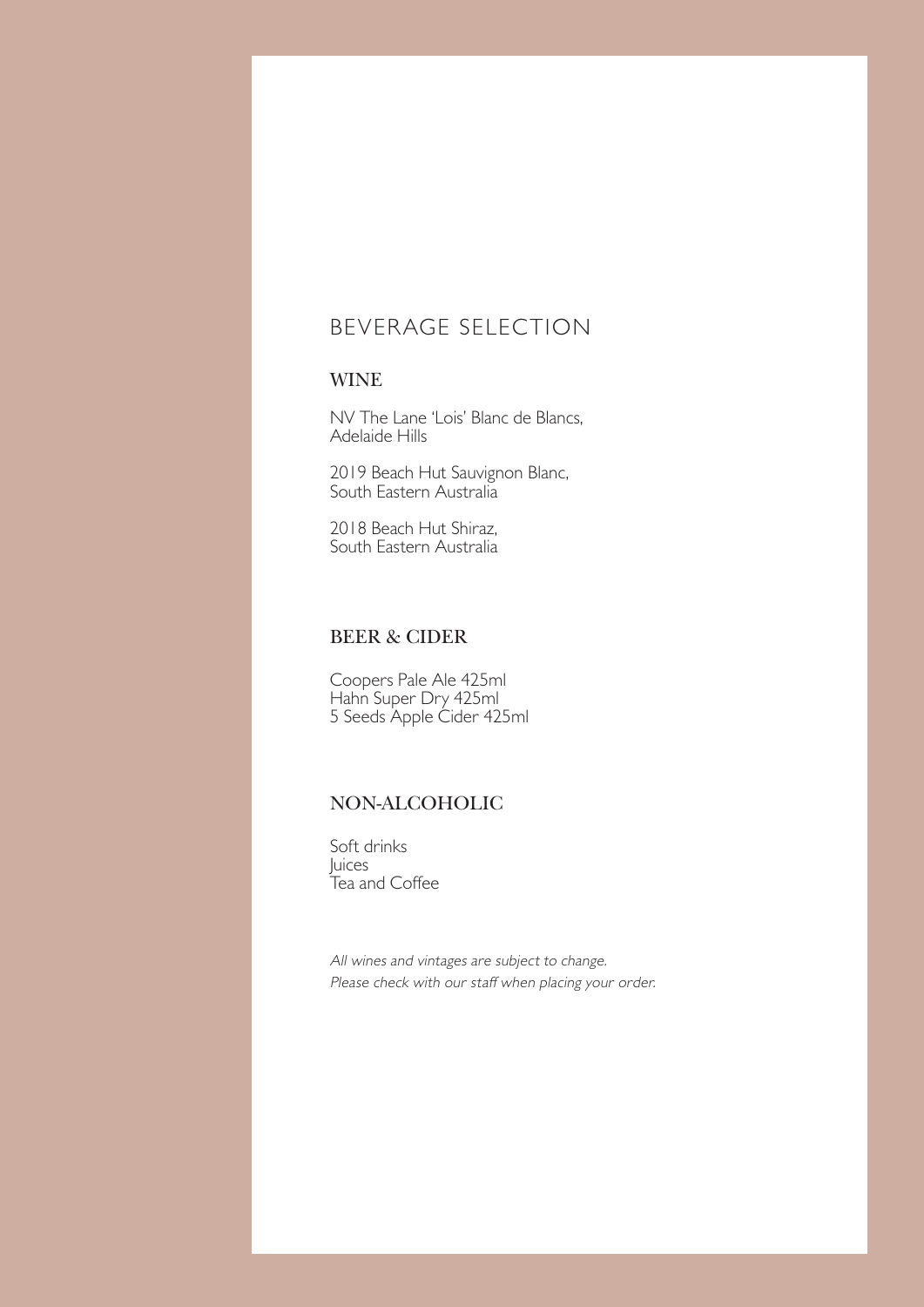#### BEVERAGE SELECTION

#### WINE

NV The Lane 'Lois' Blanc de Blancs, Adelaide Hills

2019 Beach Hut Sauvignon Blanc, South Eastern Australia

2018 Beach Hut Shiraz, South Eastern Australia

#### BEER & CIDER

Coopers Pale Ale 425ml Hahn Super Dry 425ml 5 Seeds Apple Cider 425ml

#### NON-ALCOHOLIC

Soft drinks Juices Tea and Coffee

All wines and vintages are subject to change. Please check with our staff when placing your order.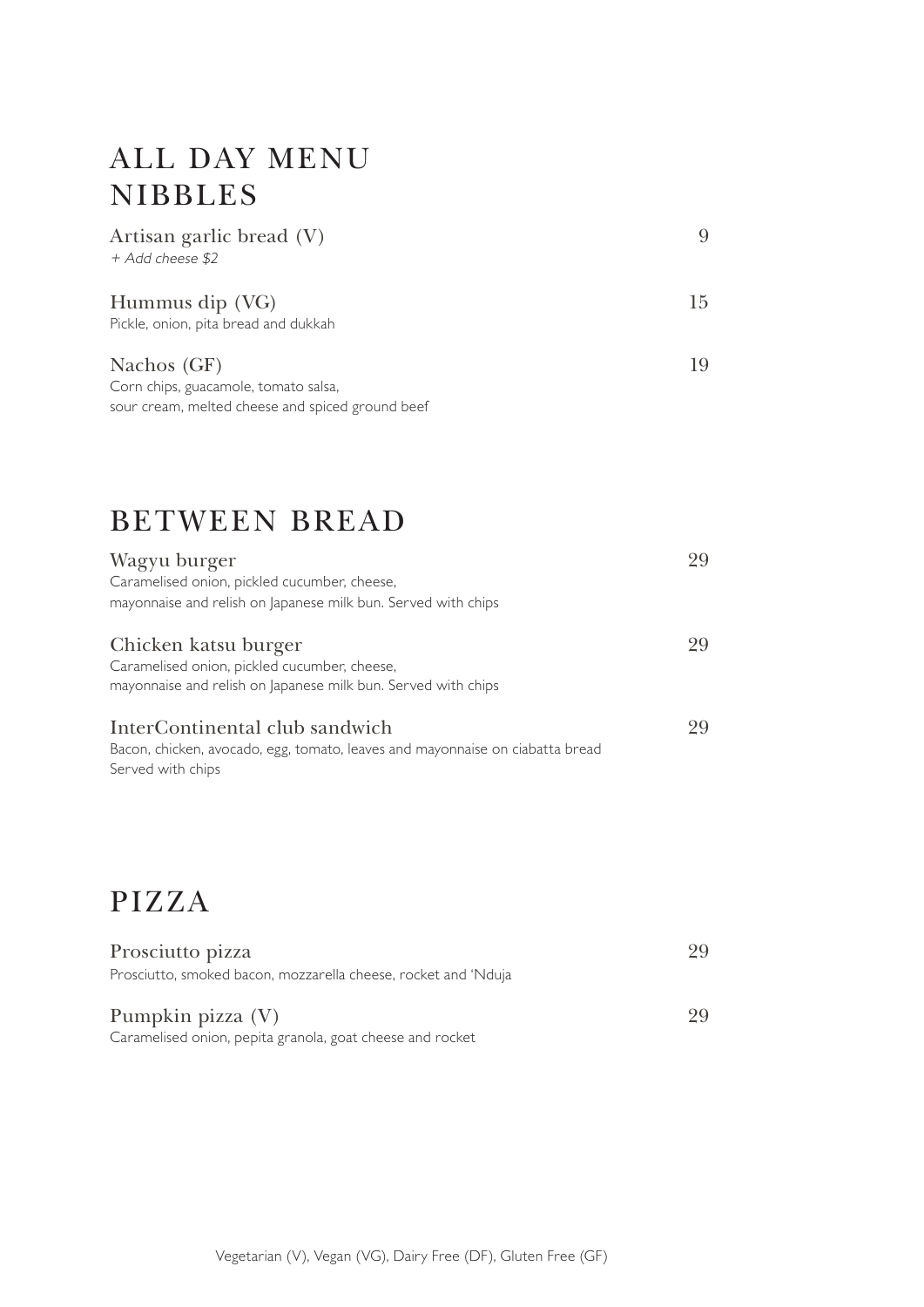## ALL DAY MENU NIBBLES

| Artisan garlic bread (V)                         |    |
|--------------------------------------------------|----|
| + Add cheese \$2                                 |    |
|                                                  |    |
| Hummus dip (VG)                                  | 15 |
| Pickle, onion, pita bread and dukkah             |    |
| Nachos (GF)                                      | 19 |
|                                                  |    |
| Corn chips, guacamole, tomato salsa,             |    |
| sour cream, melted cheese and spiced ground beef |    |

#### BETWEEN BREAD

| Wagyu burger                                                                                                                          | 99 |
|---------------------------------------------------------------------------------------------------------------------------------------|----|
| Caramelised onion, pickled cucumber, cheese,                                                                                          |    |
| mayonnaise and relish on Japanese milk bun. Served with chips                                                                         |    |
| Chicken katsu burger<br>Caramelised onion, pickled cucumber, cheese,<br>mayonnaise and relish on Japanese milk bun. Served with chips | 99 |
| InterContinental club sandwich<br>Bacon, chicken, avocado, egg, tomato, leaves and mayonnaise on ciabatta bread<br>Served with chips  | 99 |

## PIZZA

| Prosciutto pizza                                                        |    |
|-------------------------------------------------------------------------|----|
| Prosciutto, smoked bacon, mozzarella cheese, rocket and 'Nduja          |    |
| Pumpkin pizza (V)                                                       | 29 |
| . Concert distribution in a called concerta to the control of the chief |    |

Caramelised onion, pepita granola, goat cheese and rocket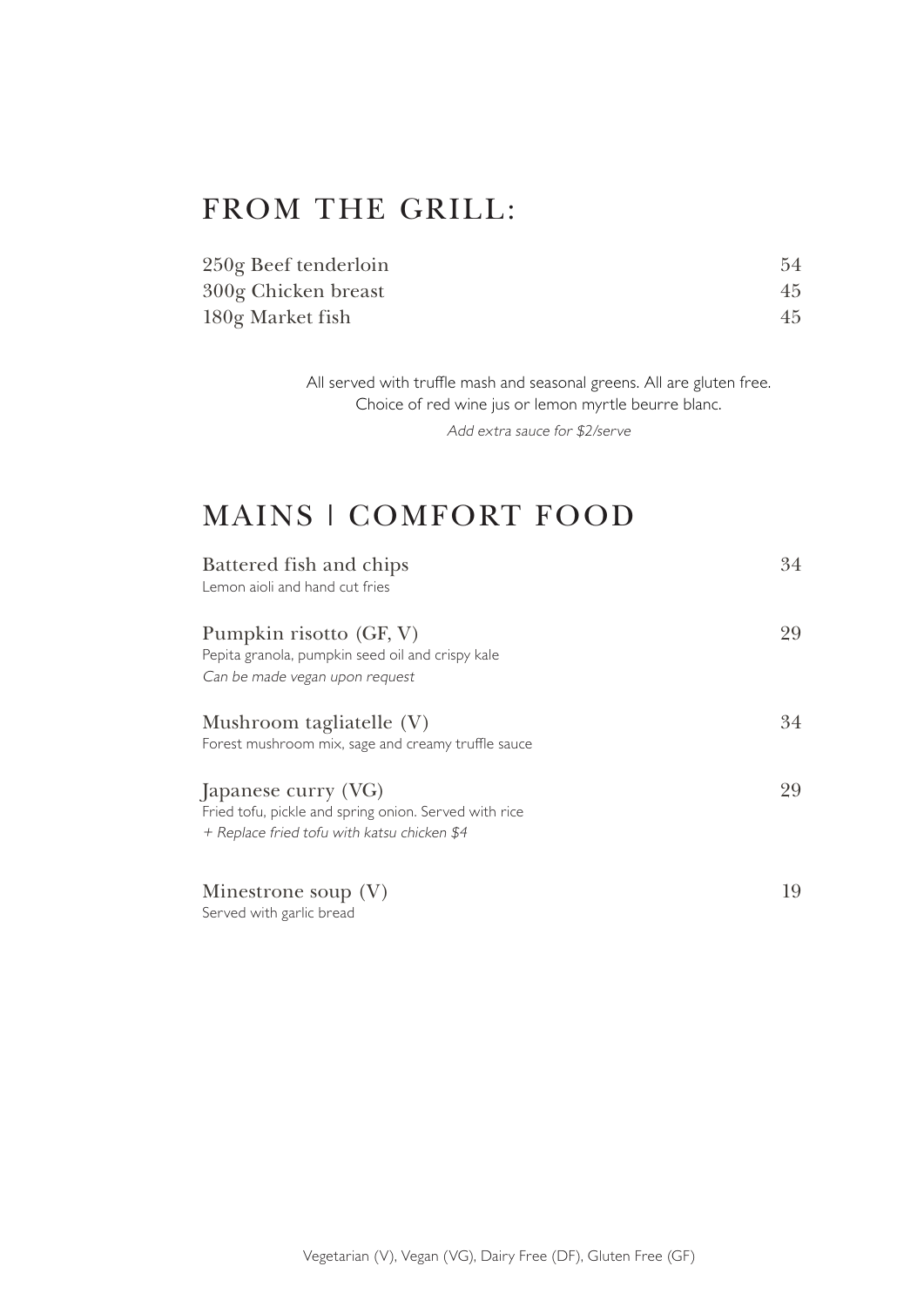## FROM THE GRILL:

| 250g Beef tenderloin | 54 |
|----------------------|----|
| 300g Chicken breast  | 45 |
| 180g Market fish     | 45 |

All served with truffle mash and seasonal greens. All are gluten free. Choice of red wine jus or lemon myrtle beurre blanc.

Add extra sauce for \$2/serve

## MAINS | COMFORT FOOD

| Battered fish and chips<br>Lemon aioli and hand cut fries                                                                   | 34 |
|-----------------------------------------------------------------------------------------------------------------------------|----|
| Pumpkin risotto (GF, V)<br>Pepita granola, pumpkin seed oil and crispy kale<br>Can be made vegan upon request               | 29 |
| Mushroom tagliatelle (V)<br>Forest mushroom mix, sage and creamy truffle sauce                                              | 34 |
| Japanese curry (VG)<br>Fried tofu, pickle and spring onion. Served with rice<br>+ Replace fried tofu with katsu chicken \$4 | 29 |
| Minestrone soup (V)                                                                                                         | 19 |

Served with garlic bread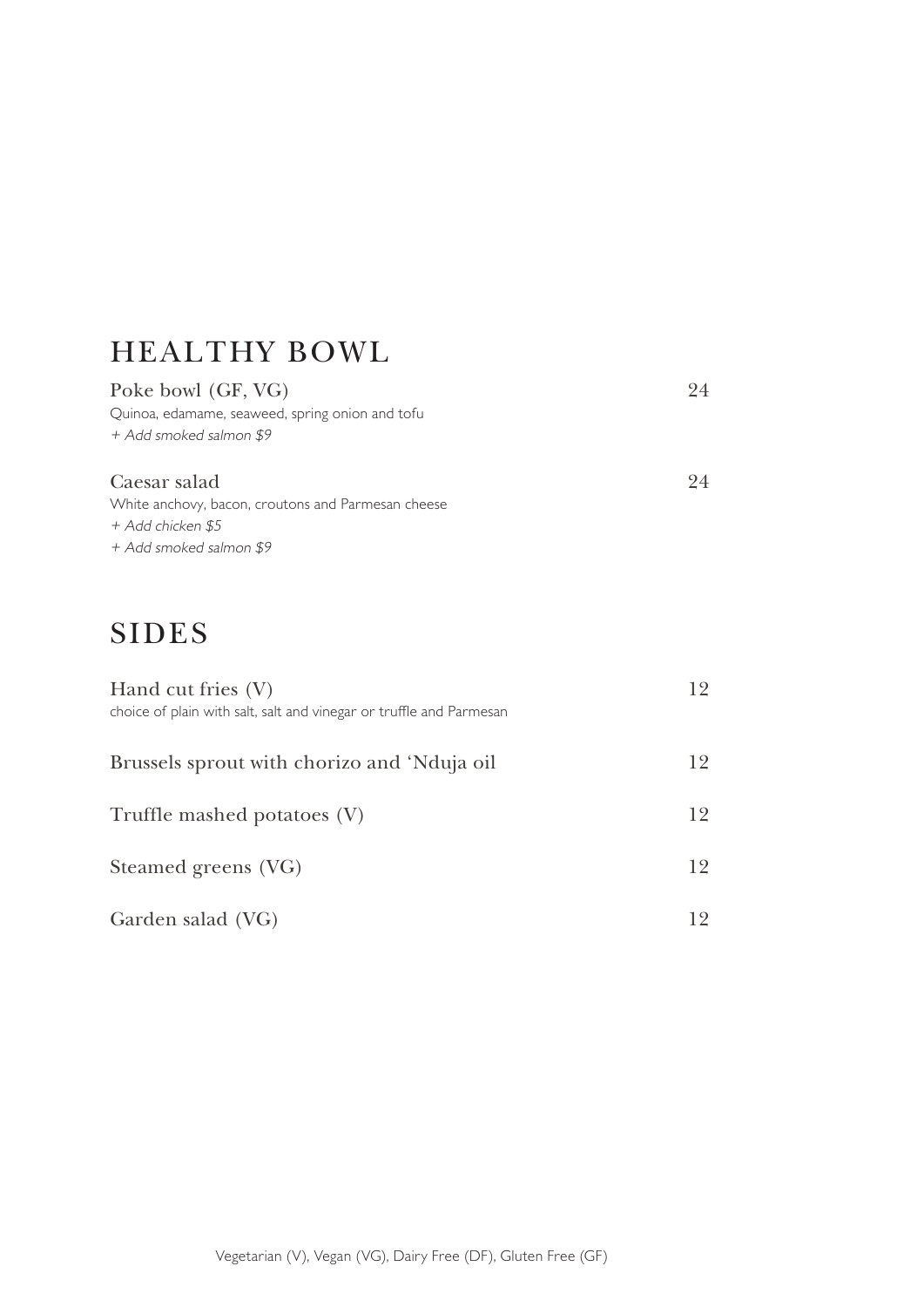## HEALTHY BOWL

| Poke bowl (GF, VG)                                 | 24 |
|----------------------------------------------------|----|
| Quinoa, edamame, seaweed, spring onion and tofu    |    |
| + Add smoked salmon \$9                            |    |
| Caesar salad                                       | 24 |
| White anchovy, bacon, croutons and Parmesan cheese |    |
| + Add chicken \$5                                  |    |
| + Add smoked salmon \$9                            |    |

## SIDES

| Hand cut fries (V)<br>choice of plain with salt, salt and vinegar or truffle and Parmesan | 12 |  |
|-------------------------------------------------------------------------------------------|----|--|
| Brussels sprout with chorizo and 'Nduja oil                                               | 12 |  |
| Truffle mashed potatoes (V)                                                               | 12 |  |
| Steamed greens (VG)                                                                       | 12 |  |
| Garden salad (VG)                                                                         | 12 |  |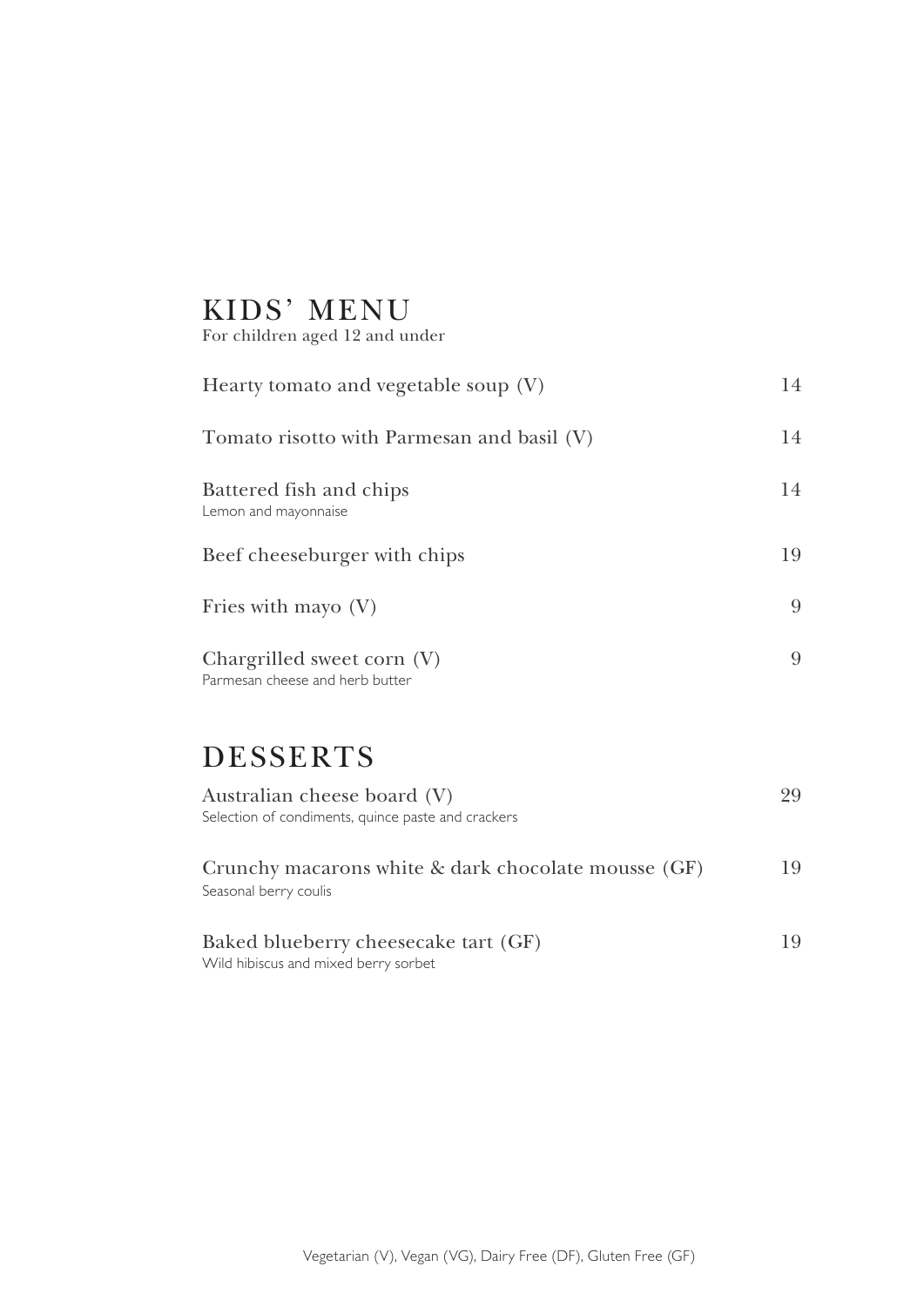# KIDS' MENU

For children aged 12 and under

| Hearty tomato and vegetable soup $(V)$                        | 14 |
|---------------------------------------------------------------|----|
| Tomato risotto with Parmesan and basil (V)                    | 14 |
| Battered fish and chips<br>Lemon and mayonnaise               | 14 |
| Beef cheeseburger with chips                                  | 19 |
| Fries with mayo $(V)$                                         | 9  |
| Chargrilled sweet corn (V)<br>Parmesan cheese and herb butter | 9  |
| <b>DESSERTS</b>                                               |    |

| Australian cheese board (V)                         |    |
|-----------------------------------------------------|----|
| Selection of condiments, quince paste and crackers  |    |
|                                                     |    |
| Crunchy macarons white & dark chocolate mousse (GF) | 19 |
| Seasonal berry coulis                               |    |
|                                                     |    |
| Baked blueberry cheesecake tart (GF)                | 19 |
| Wild hibiscus and mixed berry sorbet                |    |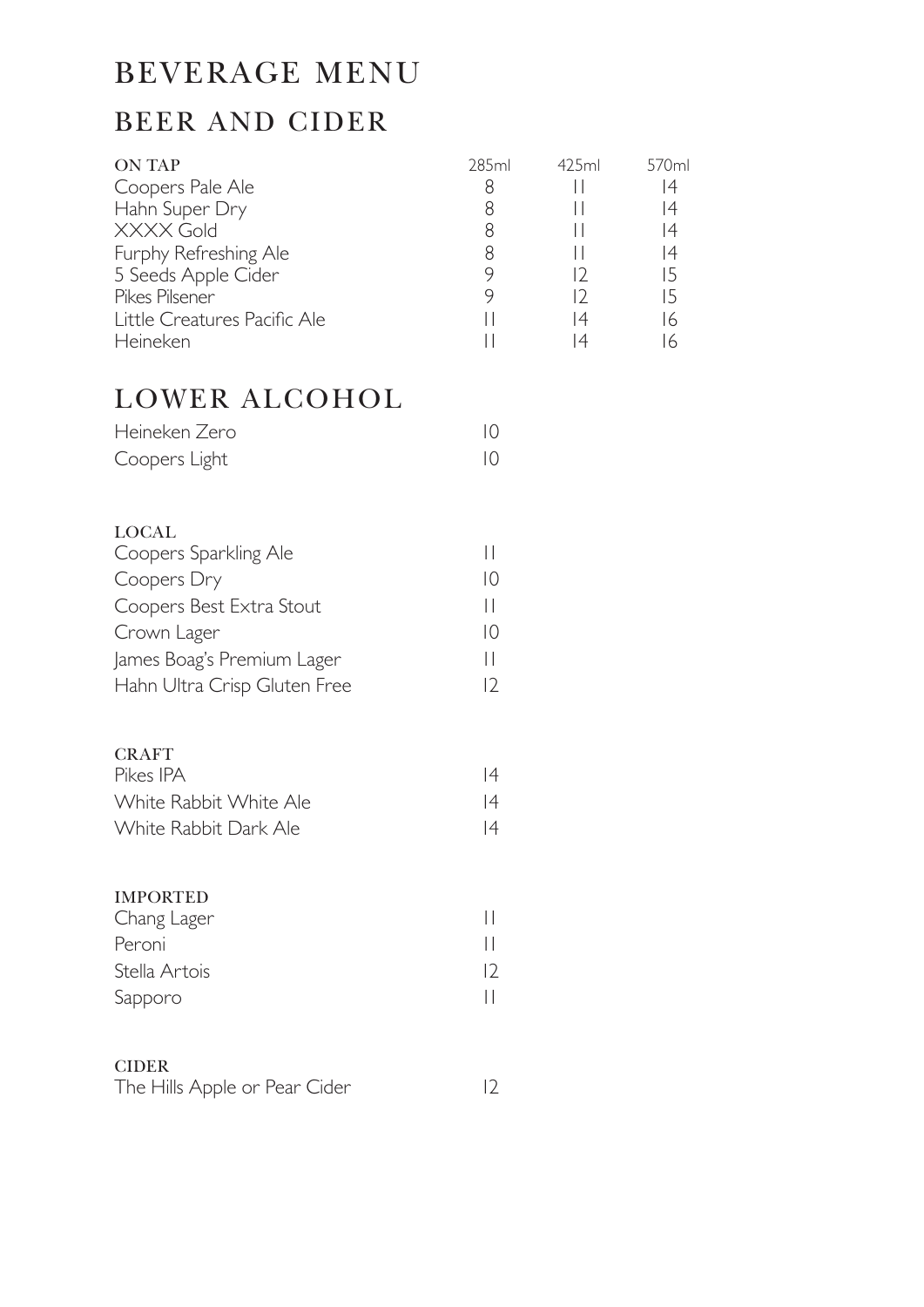## BEVERAGE MENU

#### BEER AND CIDER

| <b>ON TAP</b>                | 285ml | 425ml    | 570ml          |
|------------------------------|-------|----------|----------------|
| Coopers Pale Ale             | 8     |          | $\overline{4}$ |
| Hahn Super Dry               |       |          | 14             |
| <b>XXXX Gold</b>             | 8     |          | $\overline{4}$ |
| Furphy Refreshing Ale        | 8     |          | $\overline{4}$ |
| 5 Seeds Apple Cider          |       |          | 15             |
| Pikes Pilsener               |       |          | 15             |
| Little Creatures Pacific Ale |       | 14       | $\sqrt{2}$     |
| Heineken                     |       | $\Delta$ | $\overline{a}$ |

#### LOWER ALCOHOL

| Heineken Zero |  |
|---------------|--|
| Coopers Light |  |

#### LOCAL Coopers Sparkling Ale 11 Coopers Dry 10 Coopers Best Extra Stout 11 Crown Lager 10 James Boag's Premium Lager 11 Hahn Ultra Crisp Gluten Free 12

| <b>CRAFT</b>           |   |
|------------------------|---|
| Pikes IPA              | 4 |
| White Rabbit White Ale | 4 |
| White Rabbit Dark Ale  | 4 |

#### IMPORTED

| Chang Lager   |    |
|---------------|----|
| Peroni        |    |
| Stella Artois | 12 |
| Sapporo       |    |

#### CIDER

| The Hills Apple or Pear Cider |  |  |
|-------------------------------|--|--|
|                               |  |  |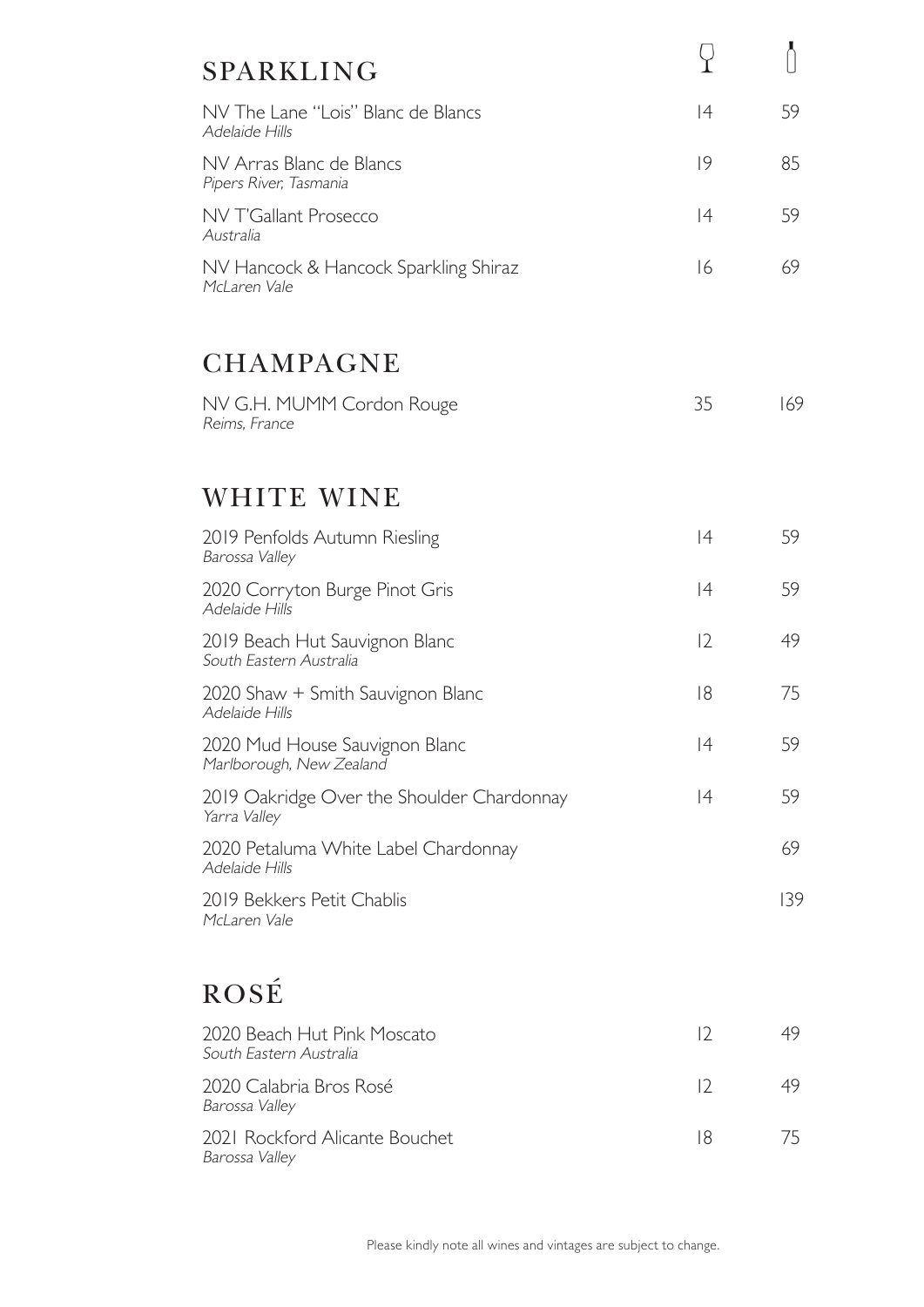| <b>SPARKLING</b>                                           |    |     |
|------------------------------------------------------------|----|-----|
| NV The Lane "Lois" Blanc de Blancs<br>Adelaide Hills       | 4  | 59  |
| NV Arras Blanc de Blancs<br>Pipers River, Tasmania         | 9  | 85  |
| <b>NV T'Gallant Prosecco</b><br>Australia                  | 4  | 59  |
| NV Hancock & Hancock Sparkling Shiraz<br>McLaren Vale      | 16 | 69  |
| <b>CHAMPAGNE</b>                                           |    |     |
| NV G.H. MUMM Cordon Rouge<br>Reims, France                 | 35 | 169 |
| WHITE WINE                                                 |    |     |
| 2019 Penfolds Autumn Riesling<br>Barossa Valley            | 4  | 59  |
| 2020 Corryton Burge Pinot Gris<br>Adelaide Hills           | 4  | 59  |
| 2019 Beach Hut Sauvignon Blanc<br>South Eastern Australia  | 12 | 49  |
| 2020 Shaw + Smith Sauvignon Blanc<br>Adelaide Hills        | 8  | 75  |
| 2020 Mud House Sauvignon Blanc<br>Marlborough, New Zealand | 4  | 59  |
| 2019 Oakridge Over the Shoulder Chardonnay<br>Yarra Valley | 4  | 59  |
| 2020 Petaluma White Label Chardonnay<br>Adelaide Hills     |    | 69  |
| 2019 Bekkers Petit Chablis<br>McLaren Vale                 |    | 139 |
| ROSÉ                                                       |    |     |
| 2020 Beach Hut Pink Moscato<br>South Eastern Australia     | 12 | 49  |
| 2020 Calabria Bros Rosé<br>Barossa Valley                  | 12 | 49  |
| 2021 Rockford Alicante Bouchet<br>Barossa Valley           | 18 | 75  |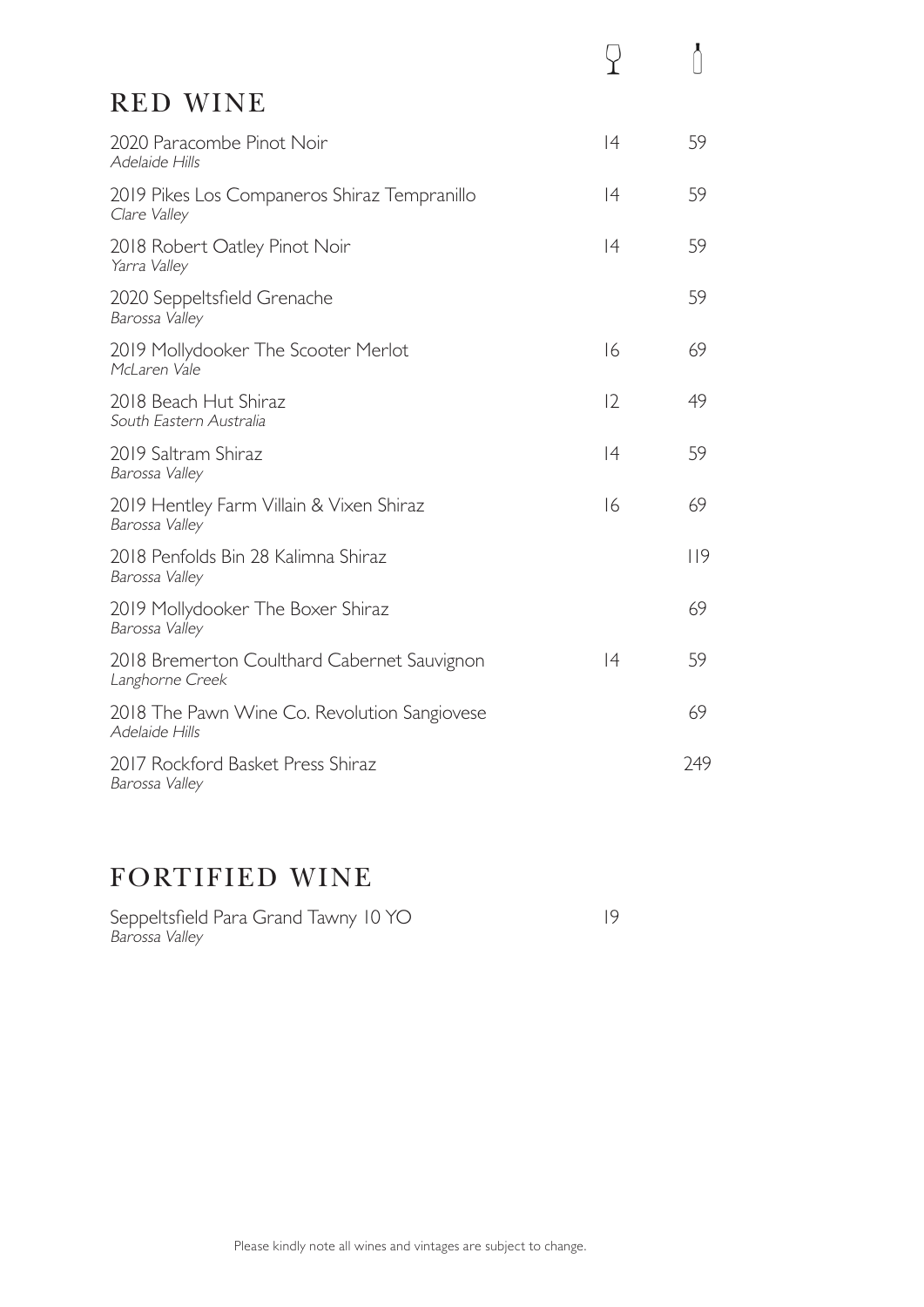| <b>RED WINE</b>                                                     |     |
|---------------------------------------------------------------------|-----|
| 2020 Paracombe Pinot Noir<br> 4<br>Adelaide Hills                   | 59  |
| 2019 Pikes Los Companeros Shiraz Tempranillo<br> 4<br>Clare Valley  | 59  |
| 4<br>2018 Robert Oatley Pinot Noir<br>Yarra Valley                  | 59  |
| 2020 Seppeltsfield Grenache<br>Barossa Valley                       | 59  |
| 16<br>2019 Mollydooker The Scooter Merlot<br>McLaren Vale           | 69  |
| 12<br>2018 Beach Hut Shiraz<br>South Eastern Australia              | 49  |
| 4<br>2019 Saltram Shiraz<br>Barossa Valley                          | 59  |
| 16<br>2019 Hentley Farm Villain & Vixen Shiraz<br>Barossa Valley    | 69  |
| 2018 Penfolds Bin 28 Kalimna Shiraz<br>Barossa Valley               | 119 |
| 2019 Mollydooker The Boxer Shiraz<br>Barossa Valley                 | 69  |
| 4<br>2018 Bremerton Coulthard Cabernet Sauvignon<br>Langhorne Creek | 59  |
| 2018 The Pawn Wine Co. Revolution Sangiovese<br>Adelaide Hills      | 69  |
| 2017 Rockford Basket Press Shiraz<br>Barossa Valley                 | 249 |

#### FORTIFIED WINE

Seppeltsfield Para Grand Tawny 10 YO 19 Barossa Valley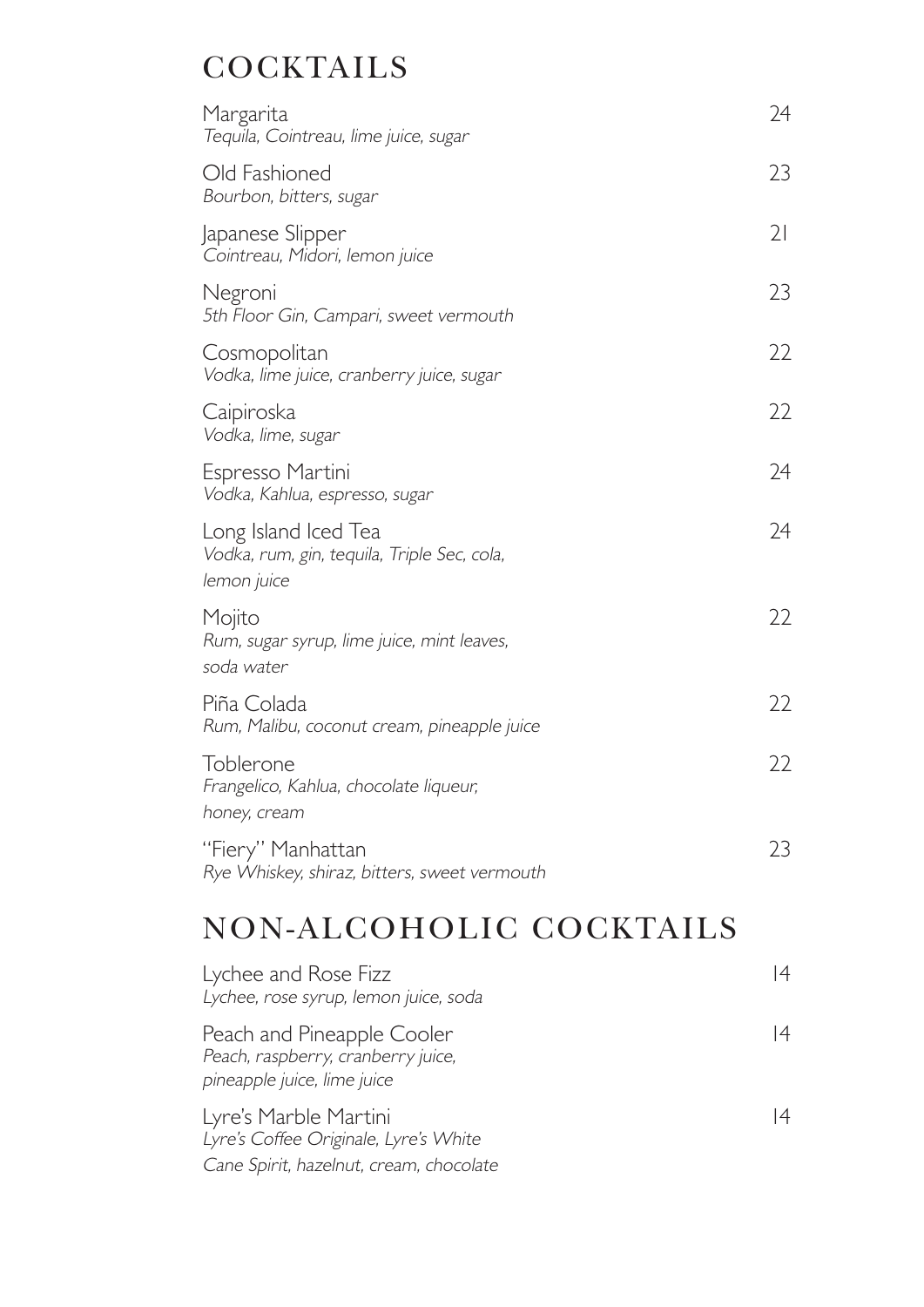# **COCKTAILS**

| Margarita<br>Tequila, Cointreau, lime juice, sugar                                 | 24 |
|------------------------------------------------------------------------------------|----|
| Old Fashioned<br>Bourbon, bitters, sugar                                           | 23 |
| Japanese Slipper<br>Cointreau, Midori, lemon juice                                 | 21 |
| Negroni<br>5th Floor Gin, Campari, sweet vermouth                                  | 23 |
| Cosmopolitan<br>Vodka, lime juice, cranberry juice, sugar                          | 22 |
| Caipiroska<br>Vodka, lime, sugar                                                   | 22 |
| Espresso Martini<br>Vodka, Kahlua, espresso, sugar                                 | 24 |
| Long Island Iced Tea<br>Vodka, rum, gin, tequila, Triple Sec, cola,<br>lemon juice | 24 |
| Mojito<br>Rum, sugar syrup, lime juice, mint leaves,<br>soda water                 | 22 |
| Piña Colada<br>Rum, Malibu, coconut cream, pineapple juice                         | 22 |
| Toblerone<br>Frangelico, Kahlua, chocolate liqueur,<br>honey, cream                | 22 |
| "Fiery" Manhattan<br>Rye Whiskey, shiraz, bitters, sweet vermouth                  | 23 |

# NON-ALCOHOLIC COCKTAILS

| Lychee and Rose Fizz<br>Lychee, rose syrup, lemon juice, soda                                             | 4  |
|-----------------------------------------------------------------------------------------------------------|----|
| Peach and Pineapple Cooler<br>Peach, raspberry, cranberry juice,<br>pineapple juice, lime juice           | 14 |
| Lyre's Marble Martini<br>Lyre's Coffee Originale, Lyre's White<br>Cane Spirit, hazelnut, cream, chocolate | 14 |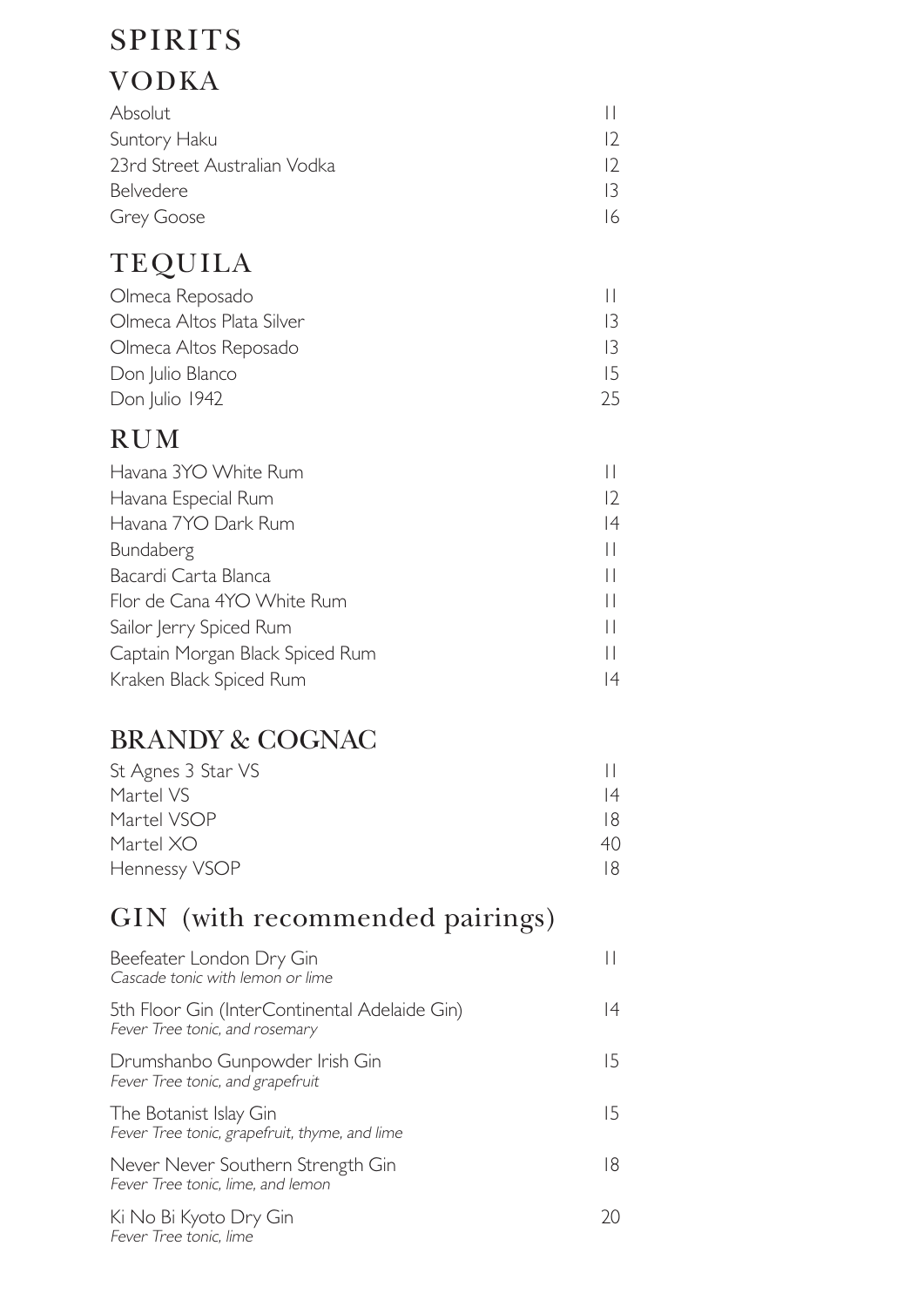# SPIRITS

## VODKA

| <b>Absolut</b>               |     |
|------------------------------|-----|
| Suntory Haku                 |     |
| 23rd Street Australian Vodka | 12. |
| Belvedere                    |     |
| Grey Goose                   | 16  |

# TEQUILA

| Olmeca Reposado           |     |
|---------------------------|-----|
| Olmeca Altos Plata Silver |     |
| Olmeca Altos Reposado     |     |
| Don Julio Blanco          | 15. |
| Don Julio 1942            | 25  |

#### RUM

| Havana 3YO White Rum            |                   |
|---------------------------------|-------------------|
| Havana Especial Rum             | $12 \overline{ }$ |
| Havana 7YO Dark Rum             | 14                |
| Bundaberg                       |                   |
| Bacardi Carta Blanca            |                   |
| Flor de Cana 4YO White Rum      |                   |
| Sailor Jerry Spiced Rum         |                   |
| Captain Morgan Black Spiced Rum |                   |
| Kraken Black Spiced Rum         | 14                |

## BRANDY & COGNAC

| St Agnes 3 Star VS |    |
|--------------------|----|
| Martel VS          | 14 |
| Martel VSOP        | 18 |
| Martel XO          | 40 |
| Hennessy VSOP      | 18 |

## GIN (with recommended pairings)

| Beefeater London Dry Gin<br>Cascade tonic with lemon or lime                    |    |
|---------------------------------------------------------------------------------|----|
| 5th Floor Gin (InterContinental Adelaide Gin)<br>Fever Tree tonic, and rosemary | 14 |
| Drumshanbo Gunpowder Irish Gin<br>Fever Tree tonic, and grapefruit              | 15 |
| The Botanist Islay Gin<br>Fever Tree tonic, grapefruit, thyme, and lime         | 15 |
| Never Never Southern Strength Gin<br>Fever Tree tonic, lime, and lemon          | 18 |
| Ki No Bi Kyoto Dry Gin<br>Fever Tree tonic, lime                                | 20 |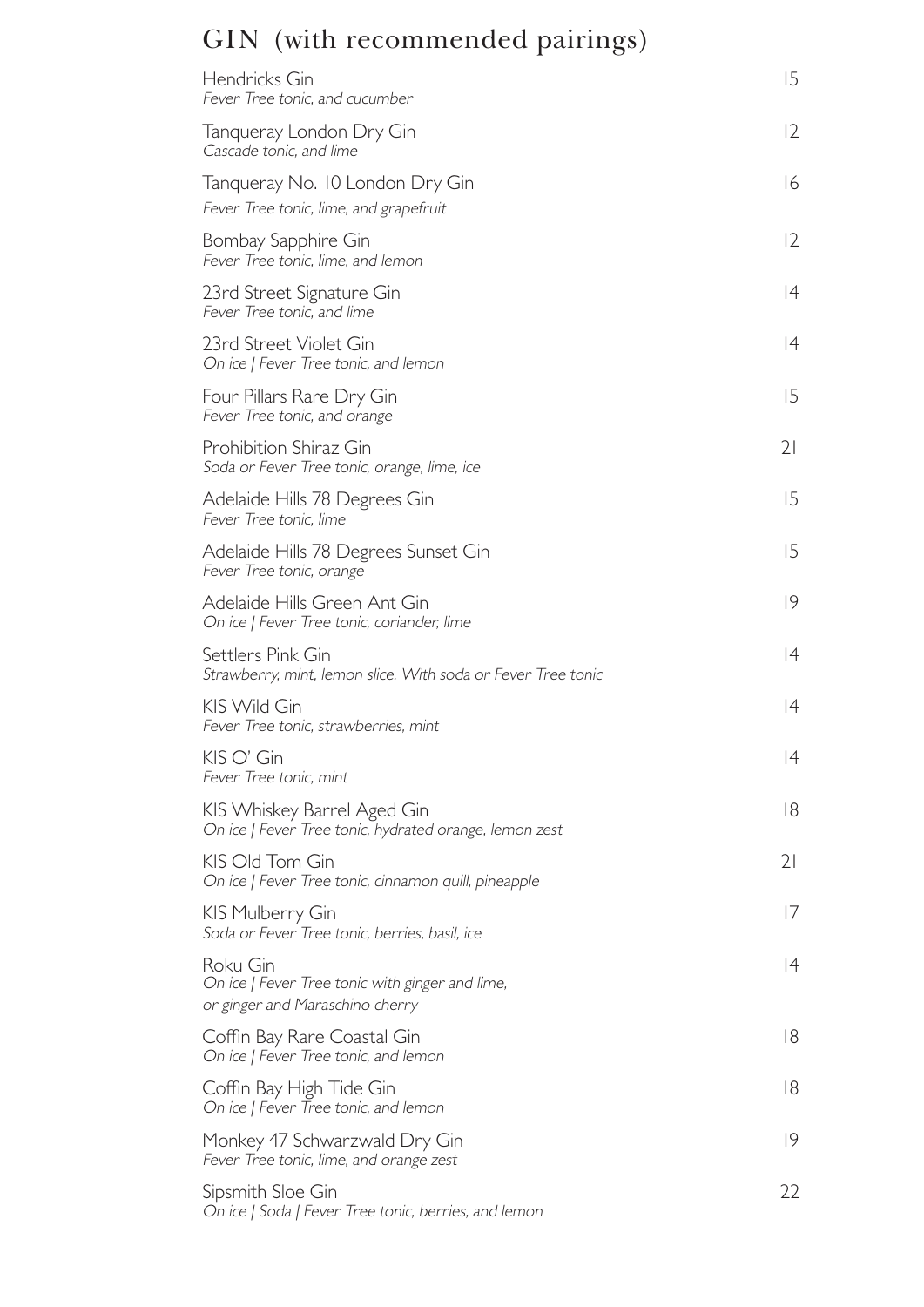# GIN (with recommended pairings)

| Hendricks Gin<br>Fever Tree tonic, and cucumber                                                | 15                |
|------------------------------------------------------------------------------------------------|-------------------|
| Tanqueray London Dry Gin<br>Cascade tonic, and lime                                            | $12 \overline{ }$ |
| Tanqueray No. 10 London Dry Gin<br>Fever Tree tonic, lime, and grapefruit                      | 16                |
| Bombay Sapphire Gin<br>Fever Tree tonic, lime, and lemon                                       | $12 \overline{ }$ |
| 23rd Street Signature Gin<br>Fever Tree tonic, and lime                                        | 4                 |
| 23rd Street Violet Gin<br>On ice   Fever Tree tonic, and lemon                                 | 4                 |
| Four Pillars Rare Dry Gin<br>Fever Tree tonic, and orange                                      | 15                |
| <b>Prohibition Shiraz Gin</b><br>Soda or Fever Tree tonic, orange, lime, ice                   | 21                |
| Adelaide Hills 78 Degrees Gin<br>Fever Tree tonic, lime                                        | 15                |
| Adelaide Hills 78 Degrees Sunset Gin<br>Fever Tree tonic, orange                               | 15                |
| Adelaide Hills Green Ant Gin<br>On ice   Fever Tree tonic, coriander, lime                     | 9                 |
| Settlers Pink Gin<br>Strawberry, mint, lemon slice. With soda or Fever Tree tonic              | 4                 |
| KIS Wild Gin<br>Fever Tree tonic, strawberries, mint                                           | 4                 |
| KIS O' Gin<br>Fever Tree tonic, mint                                                           | 4                 |
| KIS Whiskey Barrel Aged Gin<br>On ice   Fever Tree tonic, hydrated orange, lemon zest          | 18                |
| KIS Old Tom Gin<br>On ice   Fever Tree tonic, cinnamon quill, pineapple                        | 21                |
| KIS Mulberry Gin<br>Soda or Fever Tree tonic, berries, basil, ice                              | 17                |
| Roku Gin<br>On ice   Fever Tree tonic with ginger and lime,<br>or ginger and Maraschino cherry | 4                 |
| Coffin Bay Rare Coastal Gin<br>On ice   Fever Tree tonic, and lemon                            | 18                |
| Coffin Bay High Tide Gin<br>On ice   Fever Tree tonic, and lemon                               | 18                |
| Monkey 47 Schwarzwald Dry Gin<br>Fever Tree tonic, lime, and orange zest                       | 9                 |
| Sipsmith Sloe Gin<br>On ice   Soda   Fever Tree tonic, berries, and lemon                      | 22                |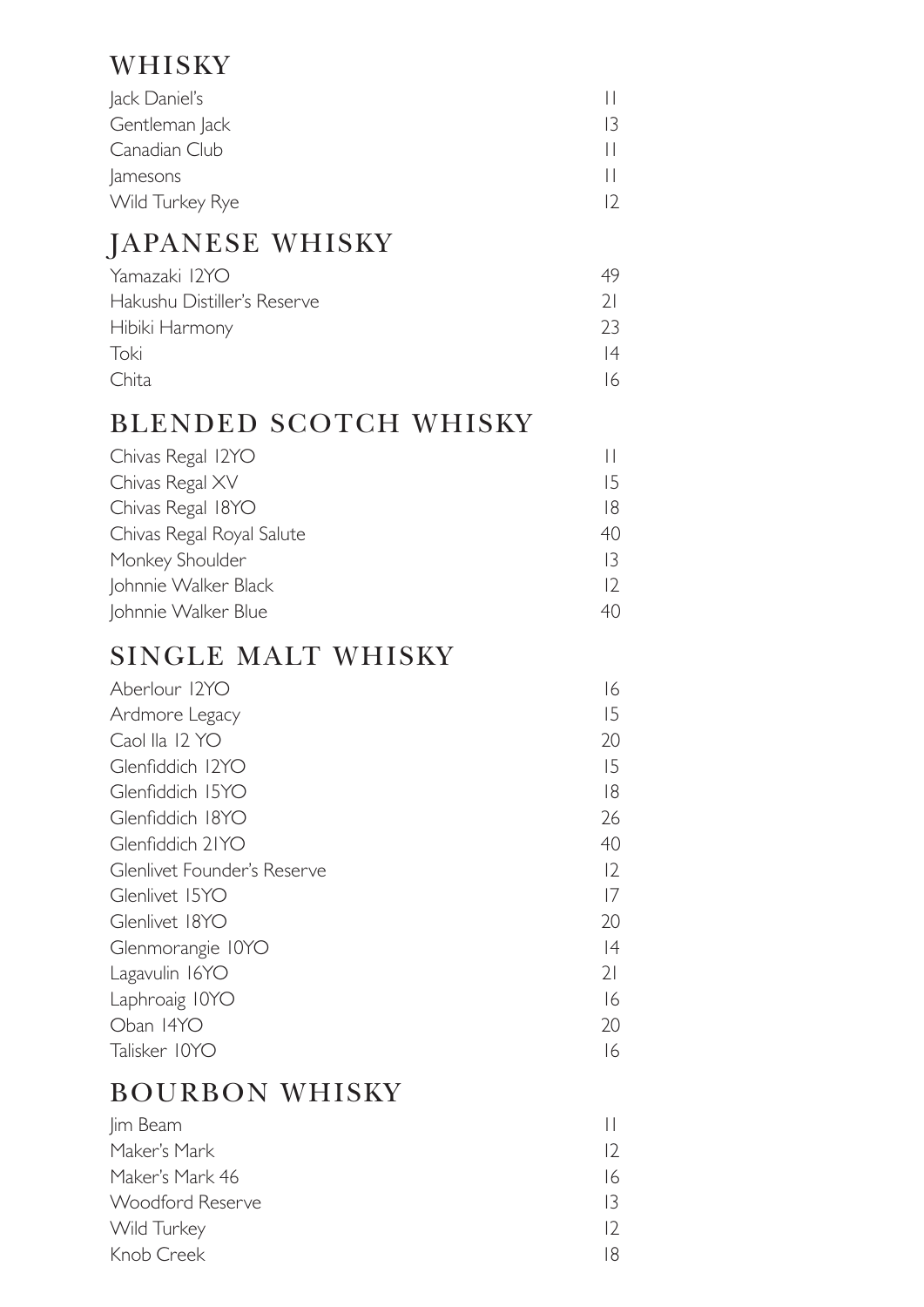#### WHISKY

| Jack Daniel's   |  |  |
|-----------------|--|--|
| Gentleman Jack  |  |  |
| Canadian Club   |  |  |
| amesons         |  |  |
| Wild Turkey Rye |  |  |

## JAPANESE WHISKY

| Yamazaki 12YO               | 49 |
|-----------------------------|----|
| Hakushu Distiller's Reserve | 71 |
| Hibiki Harmony              | フ3 |
| Toki                        | 4  |
| Chita                       |    |

#### BLENDED SCOTCH WHISKY

| Chivas Regal 12YO         |     |
|---------------------------|-----|
| Chivas Regal XV           | 15  |
| Chivas Regal 18YO         | 18. |
| Chivas Regal Royal Salute | 40  |
| Monkey Shoulder           | 13  |
| Johnnie Walker Black      |     |
| Johnnie Walker Blue       | 40  |

#### SINGLE MALT WHISKY

| 16             |
|----------------|
| 15             |
| 20             |
| 15             |
| 18             |
| 26             |
| 40             |
| 12             |
| 17             |
| 20             |
| 4              |
| 2 <sup>1</sup> |
| 16             |
| 20             |
| 16             |
|                |

#### BOURBON WHISKY

| Jim Beam         |     |
|------------------|-----|
| Maker's Mark     |     |
| Maker's Mark 46  | 16  |
| Woodford Reserve | 13. |
| Wild Turkey      |     |
| Knob Creek       |     |